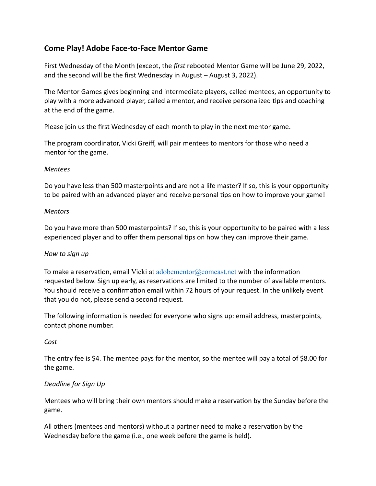# **Come Play! Adobe Face-to-Face Mentor Game**

First Wednesday of the Month (except, the *first* rebooted Mentor Game will be June 29, 2022, and the second will be the first Wednesday in August – August 3, 2022).

The Mentor Games gives beginning and intermediate players, called mentees, an opportunity to play with a more advanced player, called a mentor, and receive personalized tips and coaching at the end of the game.

Please join us the first Wednesday of each month to play in the next mentor game.

The program coordinator, Vicki Greiff, will pair mentees to mentors for those who need a mentor for the game.

#### *Mentees*

Do you have less than 500 masterpoints and are not a life master? If so, this is your opportunity to be paired with an advanced player and receive personal tips on how to improve your game!

#### *Mentors*

Do you have more than 500 masterpoints? If so, this is your opportunity to be paired with a less experienced player and to offer them personal tips on how they can improve their game.

### *How to sign up*

To make a reservation, email Vicki at adobementor  $\alpha$  compast net with the information requested below. Sign up early, as reservations are limited to the number of available mentors. You should receive a confirmation email within 72 hours of your request. In the unlikely event that you do not, please send a second request.

The following information is needed for everyone who signs up: email address, masterpoints, contact phone number.

#### *Cost*

The entry fee is \$4. The mentee pays for the mentor, so the mentee will pay a total of \$8.00 for the game.

### *Deadline for Sign Up*

Mentees who will bring their own mentors should make a reservation by the Sunday before the game.

All others (mentees and mentors) without a partner need to make a reservation by the Wednesday before the game (i.e., one week before the game is held).